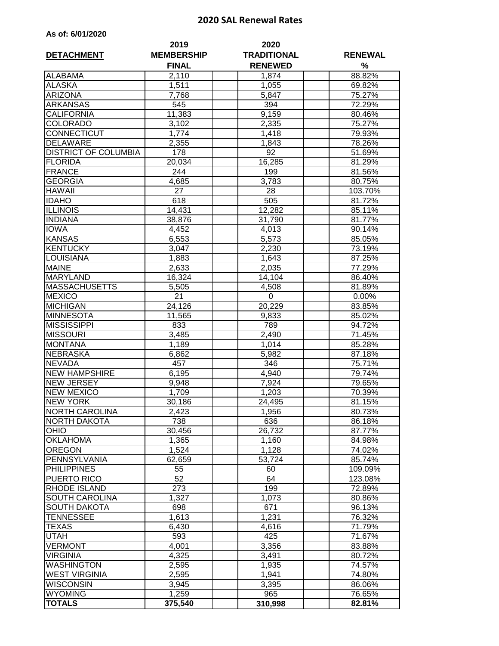## **2020 SAL Renewal Rates**

| As of: 6/01/2020 |  |  |
|------------------|--|--|
|------------------|--|--|

|                                 | 2019              | 2020               |                  |
|---------------------------------|-------------------|--------------------|------------------|
| <b>DETACHMENT</b>               | <b>MEMBERSHIP</b> | <b>TRADITIONAL</b> | <b>RENEWAL</b>   |
|                                 | <b>FINAL</b>      | <b>RENEWED</b>     | %                |
| <b>ALABAMA</b><br><b>ALASKA</b> | 2,110<br>1,511    | 1,874<br>1,055     | 88.82%<br>69.82% |
| <b>ARIZONA</b>                  | 7,768             | 5,847              | 75.27%           |
| <b>ARKANSAS</b>                 | 545               | 394                | 72.29%           |
| <b>CALIFORNIA</b>               | 11,383            | 9,159              | 80.46%           |
| <b>COLORADO</b>                 | 3,102             | 2,335              | 75.27%           |
| CONNECTICUT                     | 1,774             | 1,418              | 79.93%           |
| <b>DELAWARE</b>                 | 2,355             | 1,843              | 78.26%           |
| <b>DISTRICT OF COLUMBIA</b>     | 178               | 92                 | 51.69%           |
| <b>FLORIDA</b>                  | 20,034            | 16,285             | 81.29%           |
| <b>FRANCE</b>                   | 244               | 199                | 81.56%           |
| <b>GEORGIA</b>                  | 4,685             | 3,783              | 80.75%           |
| <b>HAWAII</b>                   | 27                | 28                 | 103.70%          |
| <b>IDAHO</b>                    | 618               | 505                | 81.72%           |
| <b>ILLINOIS</b>                 | 14,431            | 12,282             | 85.11%           |
| <b>INDIANA</b>                  | 38,876            | 31,790             | 81.77%           |
| <b>IOWA</b>                     | 4,452             | 4,013              | 90.14%           |
| <b>KANSAS</b>                   | 6,553             | 5,573              | 85.05%           |
| <b>KENTUCKY</b>                 | 3,047             | 2,230              | 73.19%           |
| <b>LOUISIANA</b>                | 1,883             | 1,643              | 87.25%           |
| <b>MAINE</b>                    | 2,633             | 2,035              | 77.29%           |
| <b>MARYLAND</b>                 | 16,324            | 14,104             | 86.40%           |
| <b>MASSACHUSETTS</b>            | 5,505             | 4,508              | 81.89%           |
| <b>MEXICO</b>                   | $\overline{2}1$   | 0                  | 0.00%            |
| <b>MICHIGAN</b>                 | 24,126            | 20,229             | 83.85%           |
| <b>MINNESOTA</b>                | 11,565            | 9,833              | 85.02%           |
| <b>MISSISSIPPI</b>              | 833               | 789                | 94.72%           |
| <b>MISSOURI</b>                 | 3,485             | 2,490              | 71.45%           |
| <b>MONTANA</b>                  | 1,189             | 1,014              | 85.28%           |
| <b>NEBRASKA</b>                 | 6,862             | 5,982              | 87.18%           |
| <b>NEVADA</b>                   | 457               | 346                | 75.71%           |
| <b>NEW HAMPSHIRE</b>            | 6,195             | 4,940              | 79.74%           |
| <b>NEW JERSEY</b>               | 9,948             | 7,924              | 79.65%           |
| <b>NEW MEXICO</b>               | 1,709             | 1,203              | 70.39%           |
| <b>NEW YORK</b>                 | 30,186            | 24,495             | 81.15%           |
| <b>NORTH CAROLINA</b>           | 2,423             | 1,956              | 80.73%           |
| NORTH DAKOTA                    | 738               | 636                | 86.18%           |
| <b>OHIO</b>                     | 30,456            | 26,732             | 87.77%           |
| <b>OKLAHOMA</b>                 | 1,365             | 1,160              | 84.98%           |
| <b>OREGON</b>                   | 1,524             | 1,128              | 74.02%           |
| PENNSYLVANIA                    | 62,659            | 53,724             | 85.74%           |
| <b>PHILIPPINES</b>              | 55                | 60                 | 109.09%          |
| PUERTO RICO                     | 52                | 64                 | 123.08%          |
| RHODE ISLAND                    | 273               | 199                | 72.89%           |
| SOUTH CAROLINA                  | 1,327             | 1,073              | 80.86%           |
| <b>SOUTH DAKOTA</b>             | 698               | 671                | 96.13%           |
| TENNESSEE                       | 1,613             | 1,231              | 76.32%           |
| TEXAS                           | 6,430             | 4,616              | 71.79%           |
| UTAH                            | 593               | 425                | 71.67%           |
| <b>VERMONT</b>                  | 4,001             | 3,356              | 83.88%           |
| <b>VIRGINIA</b>                 | 4,325             | 3,491              | 80.72%           |
| <b>WASHINGTON</b>               | 2,595             | 1,935              | 74.57%           |
| <b>WEST VIRGINIA</b>            | 2,595             | 1,941              | 74.80%           |
| <b>WISCONSIN</b>                | 3,945             | 3,395              | 86.06%           |
| <b>WYOMING</b>                  | 1,259             | 965                | 76.65%           |
| <b>TOTALS</b>                   | 375,540           | 310,998            | 82.81%           |